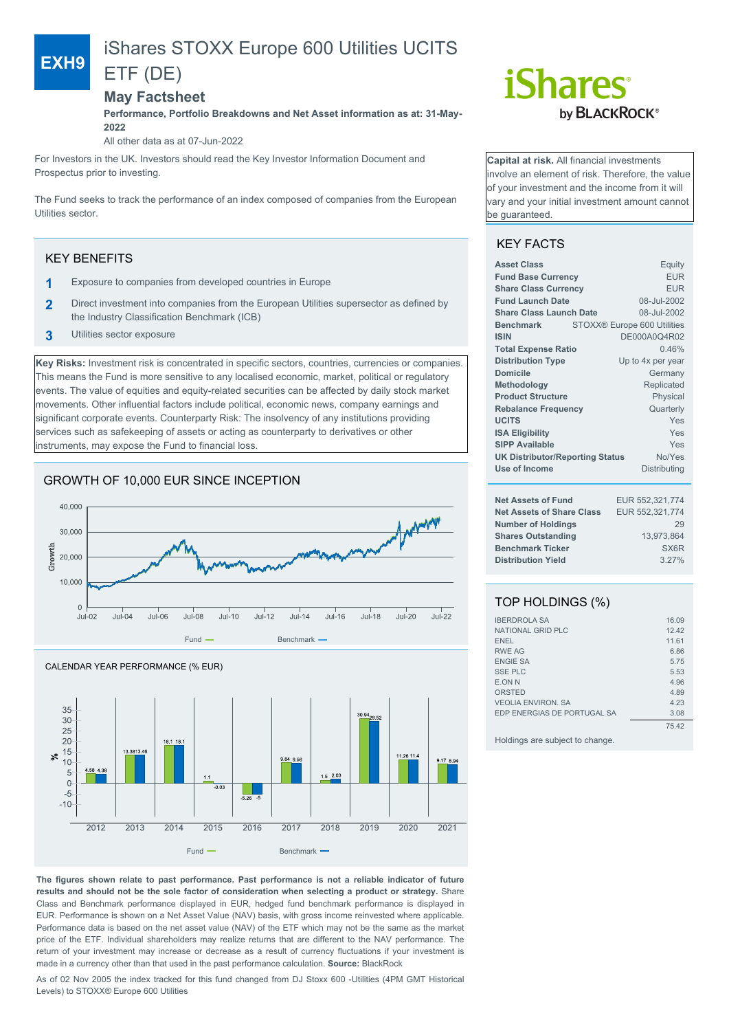# iShares STOXX Europe 600 Utilities UCITS

## ETF (DE)

**EXH9**

## **May Factsheet**

**Performance, Portfolio Breakdowns and Net Asset information as at: 31-May-2022**

All other data as at 07-Jun-2022

For Investors in the UK. Investors should read the Key Investor Information Document and Prospectus prior to investing.

The Fund seeks to track the performance of an index composed of companies from the European Utilities sector.

## KEY BENEFITS

- **1** Exposure to companies from developed countries in Europe
- **2** Direct investment into companies from the European Utilities supersector as defined by the Industry Classification Benchmark (ICB)
- **3** Utilities sector exposure

**Key Risks:** Investment risk is concentrated in specific sectors, countries, currencies or companies. This means the Fund is more sensitive to any localised economic, market, political or regulatory events. The value of equities and equity-related securities can be affected by daily stock market movements. Other influential factors include political, economic news, company earnings and significant corporate events. Counterparty Risk: The insolvency of any institutions providing services such as safekeeping of assets or acting as counterparty to derivatives or other instruments, may expose the Fund to financial loss.

## GROWTH OF 10,000 EUR SINCE INCEPTION





# *iShares* by **BLACKROCK**®

**Capital at risk.** All financial investments involve an element of risk. Therefore, the value of your investment and the income from it will vary and your initial investment amount cannot be guaranteed.

## KEY FACTS

| <b>Asset Class</b>                               | Equity |                             |  |
|--------------------------------------------------|--------|-----------------------------|--|
| <b>Fund Base Currency</b>                        |        | <b>EUR</b>                  |  |
| <b>Share Class Currency</b>                      |        | <b>EUR</b>                  |  |
| <b>Fund Launch Date</b>                          |        | 08-Jul-2002                 |  |
| <b>Share Class Launch Date</b>                   |        | 08-Jul-2002                 |  |
| <b>Benchmark</b>                                 |        | STOXX® Europe 600 Utilities |  |
| <b>ISIN</b>                                      |        | DE000A0Q4R02                |  |
| <b>Total Expense Ratio</b><br>0.46%              |        |                             |  |
| <b>Distribution Type</b>                         |        | Up to 4x per year           |  |
| Domicile                                         |        | Germany                     |  |
| Methodology                                      |        | Replicated                  |  |
| <b>Product Structure</b>                         |        | Physical                    |  |
| <b>Rebalance Frequency</b>                       |        | Quarterly                   |  |
| <b>UCITS</b>                                     |        | Yes                         |  |
| <b>ISA Eligibility</b>                           |        | Yes                         |  |
| <b>SIPP Available</b>                            |        | Yes                         |  |
| No/Yes<br><b>UK Distributor/Reporting Status</b> |        |                             |  |
| Use of Income                                    |        | Distributing                |  |
| <b>Net Assets of Fund</b>                        |        | EUR 552,321,774             |  |
| <b>Net Assets of Share Class</b>                 |        | EUR 552.321.774             |  |
| <b>Number of Holdings</b>                        |        | 29                          |  |
| <b>Shares Outstanding</b>                        |        | 13,973,864                  |  |
| <b>Benchmark Ticker</b>                          |        | SX6R                        |  |
| <b>Distribution Yield</b>                        |        | 3.27%                       |  |
|                                                  |        |                             |  |

## TOP HOLDINGS (%)

| <b>IBERDROLA SA</b>             | 16.09 |
|---------------------------------|-------|
| NATIONAL GRID PLC               | 12.42 |
| <b>ENEL</b>                     | 11.61 |
| <b>RWE AG</b>                   | 6.86  |
| <b>ENGIE SA</b>                 | 5.75  |
| <b>SSE PLC</b>                  | 5.53  |
| E.ON N                          | 4.96  |
| ORSTED                          | 4.89  |
| <b>VEOLIA ENVIRON, SA</b>       | 4.23  |
| EDP ENERGIAS DE PORTUGAL SA     | 3.08  |
|                                 | 75.42 |
| Holdings are subject to change. |       |

**The figures shown relate to past performance. Past performance is not a reliable indicator of future results and should not be the sole factor of consideration when selecting a product or strategy.** Share Class and Benchmark performance displayed in EUR, hedged fund benchmark performance is displayed in EUR. Performance is shown on a Net Asset Value (NAV) basis, with gross income reinvested where applicable. Performance data is based on the net asset value (NAV) of the ETF which may not be the same as the market price of the ETF. Individual shareholders may realize returns that are different to the NAV performance. The return of your investment may increase or decrease as a result of currency fluctuations if your investment is made in a currency other than that used in the past performance calculation. **Source:** BlackRock

As of 02 Nov 2005 the index tracked for this fund changed from DJ Stoxx 600 -Utilities (4PM GMT Historical Levels) to STOXX® Europe 600 Utilities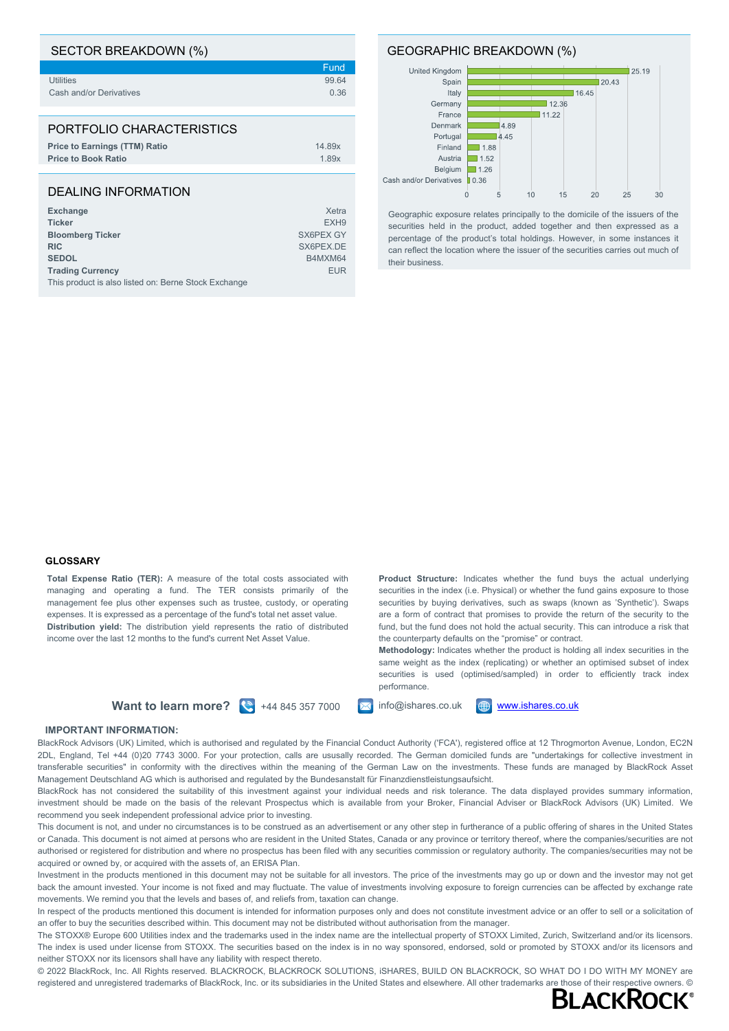| SECTOR BREAKDOWN (%)                                                                            |                                        |
|-------------------------------------------------------------------------------------------------|----------------------------------------|
|                                                                                                 | Fund                                   |
| Utilities                                                                                       | 99.64                                  |
| Cash and/or Derivatives                                                                         | 0.36                                   |
|                                                                                                 |                                        |
| PORTFOLIO CHARACTERISTICS<br><b>Price to Earnings (TTM) Ratio</b><br><b>Price to Book Ratio</b> | 14.89x<br>1.89x                        |
| DEALING INFORMATION                                                                             |                                        |
| <b>Exchange</b><br><b>Ticker</b><br><b>Bloomberg Ticker</b>                                     | Xetra<br>EXH <sub>9</sub><br>SX6PEX GY |

**RIC** SX6PEX.DE **SEDOL** B4MXM64 **Trading Currency** EUR This product is also listed on: Berne Stock Exchange

#### GEOGRAPHIC BREAKDOWN (%)



Geographic exposure relates principally to the domicile of the issuers of the securities held in the product, added together and then expressed as a percentage of the product's total holdings. However, in some instances it can reflect the location where the issuer of the securities carries out much of their business.

#### **GLOSSARY**

**Total Expense Ratio (TER):** A measure of the total costs associated with managing and operating a fund. The TER consists primarily of the management fee plus other expenses such as trustee, custody, or operating expenses. It is expressed as a percentage of the fund's total net asset value. **Distribution yield:** The distribution yield represents the ratio of distributed income over the last 12 months to the fund's current Net Asset Value.

**Product Structure:** Indicates whether the fund buys the actual underlying securities in the index (i.e. Physical) or whether the fund gains exposure to those securities by buying derivatives, such as swaps (known as 'Synthetic'). Swaps are a form of contract that promises to provide the return of the security to the fund, but the fund does not hold the actual security. This can introduce a risk that the counterparty defaults on the "promise" or contract.

**Methodology:** Indicates whether the product is holding all index securities in the same weight as the index (replicating) or whether an optimised subset of index securities is used (optimised/sampled) in order to efficiently track index performance.

**Want to learn more?**  $\left(\frac{8}{3}\right)$  +44 845 357 7000  $\left(\frac{1}{2}\right)$  info@ishares.co.uk  $\left(\frac{4}{2}\right)$  [www.ishares.co.uk](http://www.ishares.co.uk)

#### **IMPORTANT INFORMATION:**

BlackRock Advisors (UK) Limited, which is authorised and regulated by the Financial Conduct Authority ('FCA'), registered office at 12 Throgmorton Avenue, London, EC2N 2DL, England, Tel +44 (0)20 7743 3000. For your protection, calls are ususally recorded. The German domiciled funds are "undertakings for collective investment in transferable securities" in conformity with the directives within the meaning of the German Law on the investments. These funds are managed by BlackRock Asset Management Deutschland AG which is authorised and regulated by the Bundesanstalt für Finanzdienstleistungsaufsicht.

BlackRock has not considered the suitability of this investment against your individual needs and risk tolerance. The data displayed provides summary information, investment should be made on the basis of the relevant Prospectus which is available from your Broker, Financial Adviser or BlackRock Advisors (UK) Limited. We recommend you seek independent professional advice prior to investing.

This document is not, and under no circumstances is to be construed as an advertisement or any other step in furtherance of a public offering of shares in the United States or Canada. This document is not aimed at persons who are resident in the United States, Canada or any province or territory thereof, where the companies/securities are not authorised or registered for distribution and where no prospectus has been filed with any securities commission or regulatory authority. The companies/securities may not be acquired or owned by, or acquired with the assets of, an ERISA Plan.

Investment in the products mentioned in this document may not be suitable for all investors. The price of the investments may go up or down and the investor may not get back the amount invested. Your income is not fixed and may fluctuate. The value of investments involving exposure to foreign currencies can be affected by exchange rate movements. We remind you that the levels and bases of, and reliefs from, taxation can change.

In respect of the products mentioned this document is intended for information purposes only and does not constitute investment advice or an offer to sell or a solicitation of an offer to buy the securities described within. This document may not be distributed without authorisation from the manager.

The STOXX® Europe 600 Utilities index and the trademarks used in the index name are the intellectual property of STOXX Limited, Zurich, Switzerland and/or its licensors. The index is used under license from STOXX. The securities based on the index is in no way sponsored, endorsed, sold or promoted by STOXX and/or its licensors and neither STOXX nor its licensors shall have any liability with respect thereto.

© 2022 BlackRock, Inc. All Rights reserved. BLACKROCK, BLACKROCK SOLUTIONS, iSHARES, BUILD ON BLACKROCK, SO WHAT DO I DO WITH MY MONEY are registered and unregistered trademarks of BlackRock, Inc. or its subsidiaries in the United States and elsewhere. All other trademarks are those of their respective owners. ©<br>RI ACKROCK®